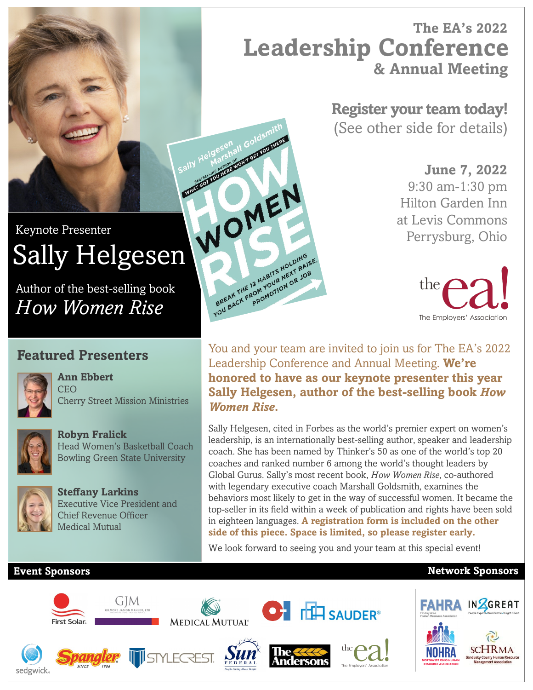# **The EA's 2022 & Annual Meeting Leadership Conference**

**Register your team today!** (See other side for details)

> **June 7, 2022** 9:30 am-1:30 pm Hilton Garden Inn at Levis Commons Perrysburg, Ohio



You and your team are invited to join us for The EA's 2022 Leadership Conference and Annual Meeting. **We're honored to have as our keynote presenter this year Sally Helgesen, author of the best-selling book** *How Women Rise***.** 

Sally Helgesen, cited in Forbes as the world's premier expert on women's leadership, is an internationally best-selling author, speaker and leadership coach. She has been named by Thinker's 50 as one of the world's top 20 coaches and ranked number 6 among the world's thought leaders by Global Gurus. Sally's most recent book, *How Women Rise*, co-authored with legendary executive coach Marshall Goldsmith, examines the behaviors most likely to get in the way of successful women. It became the top-seller in its field within a week of publication and rights have been sold in eighteen languages. **A registration form is included on the other side of this piece. Space is limited, so please register early.**

We look forward to seeing you and your team at this special event!

### **Event Sponsors Network Sponsors**



Sally Helgesenall Goldswith

BREAK THE 12 HABITS HOLDING FREAK THE 12 HABITS HOLDINGS.

# WOMEN Keynote Presenter Sally Helgesen

Author of the best-selling book *How Women Rise*

# **Featured Presenters**

**Ann Ebbert**

**Robyn Fralick**



**CEO** Cherry Street Mission Ministries

Head Women's Basketball Coach Bowling Green State University



**Steffany Larkins** Executive Vice President and Chief Revenue Officer Medical Mutual